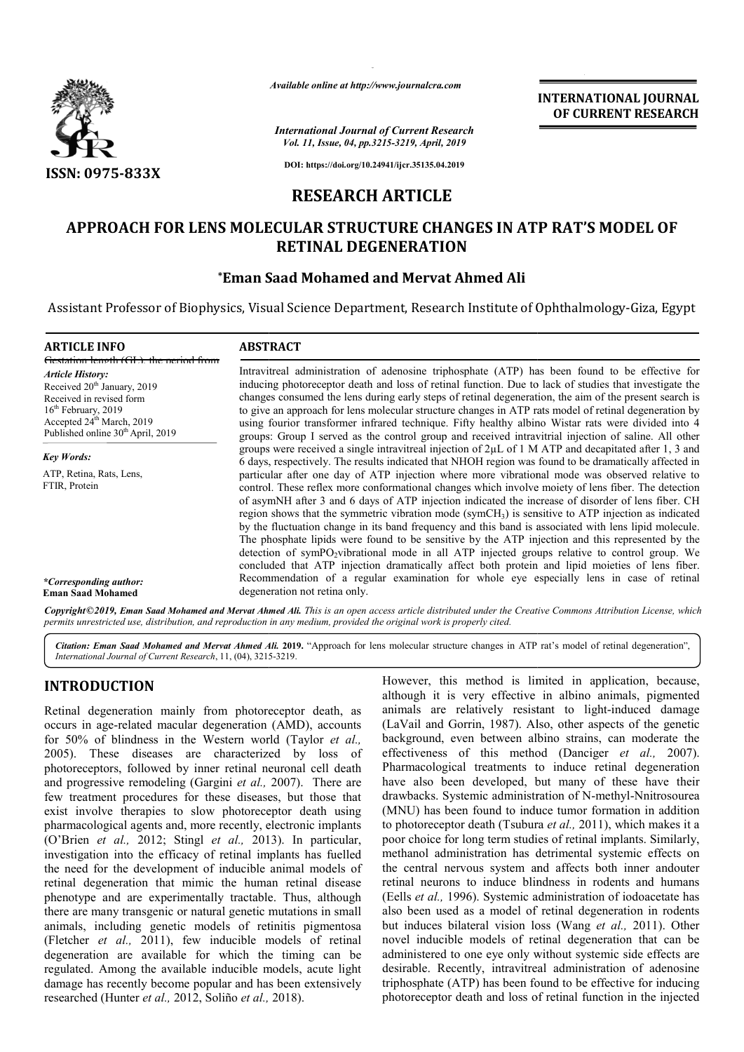

*Available online at http://www.journalcra.com*

*International Journal of Current Research Vol. 11, Issue, 04, pp.3215-3219, April, 2019*

**INTERNATIONAL JOURNAL OF CURRENT RESEARCH**

**DOI: https://doi.org/10.24941/ijcr.35135.04.2019**

## **RESEARCH ARTICLE**

# **APPROACH FOR LENS MOLECULAR STRUCTURE CHANGES IN ATP RAT'S MODEL OF RETINAL DEGENERATION**

### **\*Eman Saad Mohamed and Mervat Eman Ahmed Ali**

Assistant Professor of Biophysics, Visual Science Department, Research Institute of Ophthalmology-Giza, Egypt

| <b>ARTICLE INFO</b>                                                                                                                                                                                                                                        | <b>ABSTRACT</b>                                                                                                                                                                                                                                                                                                                                                                                                                                                                                                                                                                                                                                                                                                                                                                                                                                                                                                                                                                                                                                                                                                                                                     |
|------------------------------------------------------------------------------------------------------------------------------------------------------------------------------------------------------------------------------------------------------------|---------------------------------------------------------------------------------------------------------------------------------------------------------------------------------------------------------------------------------------------------------------------------------------------------------------------------------------------------------------------------------------------------------------------------------------------------------------------------------------------------------------------------------------------------------------------------------------------------------------------------------------------------------------------------------------------------------------------------------------------------------------------------------------------------------------------------------------------------------------------------------------------------------------------------------------------------------------------------------------------------------------------------------------------------------------------------------------------------------------------------------------------------------------------|
| Gestation length (GL) the period from<br><b>Article History:</b><br>Received 20 <sup>th</sup> January, 2019<br>Received in revised form<br>$16th$ February, 2019<br>Accepted 24 <sup>th</sup> March, 2019<br>Published online 30 <sup>th</sup> April, 2019 | Intravitreal administration of adenosine triphosphate (ATP) has been found to be effective for<br>inducing photoreceptor death and loss of retinal function. Due to lack of studies that investigate the<br>changes consumed the lens during early steps of retinal degeneration, the aim of the present search is<br>to give an approach for lens molecular structure changes in ATP rats model of retinal degeneration by<br>using fourior transformer infrared technique. Fifty healthy albino Wistar rats were divided into 4<br>groups: Group I served as the control group and received intravitrial injection of saline. All other                                                                                                                                                                                                                                                                                                                                                                                                                                                                                                                           |
| <b>Key Words:</b><br>ATP, Retina, Rats, Lens,<br>FTIR, Protein                                                                                                                                                                                             | groups were received a single intravitreal injection of $2\mu$ of 1 M ATP and decapitated after 1, 3 and<br>6 days, respectively. The results indicated that NHOH region was found to be dramatically affected in<br>particular after one day of ATP injection where more vibrational mode was observed relative to<br>control. These reflex more conformational changes which involve moiety of lens fiber. The detection<br>of asymNH after 3 and 6 days of ATP injection indicated the increase of disorder of lens fiber. CH<br>region shows that the symmetric vibration mode ( $symCH3$ ) is sensitive to ATP injection as indicated<br>by the fluctuation change in its band frequency and this band is associated with lens lipid molecule.<br>The phosphate lipids were found to be sensitive by the ATP injection and this represented by the<br>detection of symPO <sub>2</sub> vibrational mode in all ATP injected groups relative to control group. We<br>concluded that ATP injection dramatically affect both protein and lipid moieties of lens fiber.<br>Recommendation of a regular examination for whole eye especially lens in case of retinal |
| *Corresponding author:<br><b>Eman Saad Mohamed</b>                                                                                                                                                                                                         | degeneration not retina only.                                                                                                                                                                                                                                                                                                                                                                                                                                                                                                                                                                                                                                                                                                                                                                                                                                                                                                                                                                                                                                                                                                                                       |

Copyright©2019, Eman Saad Mohamed and Mervat Ahmed Ali. This is an open access article distributed under the Creative Commons Attribution License, which permits unrestricted use, distribution, and reproduction in any medium, provided the original work is properly cited.

Citation: Eman Saad Mohamed and Mervat Ahmed Ali. 2019. "Approach for lens molecular structure changes in ATP rat's model of retinal degeneration", *International Journal of Current Research*, 11, (04), 3215 3215-3219.

# **INTRODUCTION**

Retinal degeneration mainly from photoreceptor death, as occurs in age-related macular degeneration (AMD), accounts for 50% of blindness in the Western world (Taylor *et al.,*  2005). These diseases are characterized by loss of photoreceptors, followed by inner retinal neuronal cell death and progressive remodeling (Gargini *et al.,*  2007). There are few treatment procedures for these diseases, but those that exist involve therapies to slow photoreceptor death using pharmacological agents and, more recently, electronic implants (O'Brien *et al.,* 2012; Stingl *et al.,* 2013). In particular, investigation into the efficacy of retinal implants has fuelled the need for the development of inducible animal models of retinal degeneration that mimic the human retinal disease phenotype and are experimentally tractable. Thus, although there are many transgenic or natural genetic mutations in small animals, including genetic models of retinitis pigmentosa (Fletcher *et al.,* 2011), few inducible models of retinal degeneration are available for which the timing can be regulated. Among the available inducible models, acute light damage has recently become popular and has been extensively degeneration are available for which the timin<br>regulated. Among the available inducible models,<br>damage has recently become popular and has been<br>researched (Hunter *et al.*, 2012, Soliño *et al.*, 2018).

However, this method is limited in application, because, although it is very effective in albino animals, pigmented although it is very effective in albino animals, pigmented animals are relatively resistant to light-induced damage (LaVail and Gorrin, 1987). Also, other aspects of the genetic background, even between albino strains, can moderate the (LaVail and Gorrin, 1987). Also, other aspects of the genetic background, even between albino strains, can moderate the effectiveness of this method (Danciger *et al., 2007)*. Pharmacological treatments to induce retinal degeneration have also been developed, but many of these have their Pharmacological treatments to induce retinal degeneration<br>have also been developed, but many of these have their<br>drawbacks. Systemic administration of N-methyl-Nnitrosourea (MNU) has been found to induce tumor formation in addition to photoreceptor death (Tsubura et al., 2011), which makes it a poor choice for long term studies of retinal implants. Similarly, methanol administration has detrimental systemic effects on the central nervous system and affects both inner andouter retinal neurons to induce blindness in rodents and humans (Eells *et al.,* 1996). Systemic administration of iodoacetate has also been used as a model of retinal degeneration in rodents but induces bilateral vision loss (Wang et al., 2011). Other novel inducible models of retinal degeneration that can be administered to one eye only without systemic side effects are desirable. Recently, intravitreal administration of adenosine triphosphate (ATP) has been found to be effective for inducing photoreceptor death and loss of retinal function in the injected choice for long term studies of retinal implants. Similarly, anol administration has detrimental systemic effects on entral nervous system and affects both inner andouter in al neurons to induce blindness in rodents and humans<br>ls *et al.*, 1996). Systemic administration of iodoacetate has<br>been used as a model of retinal degeneration in rodents<br>induces bilateral vision loss (Wang *et al.*, 2 EXERVATIONAL JOURNEL **CONDUMNAL CONDUMNAL CONDUMNAL CONDUMNAL CONDUMNAL CONDUMNAL CONDUMNAL CONDUMNAL CONDUMNAL CONDUMNAL CONDUMNAL CONDUMNAL CONDUMNAL CONDUMNAL CONDUMNAL CONDUMNAL CONDUMNAL CONDUMNAL CONDUMNAL CONDUMNAL**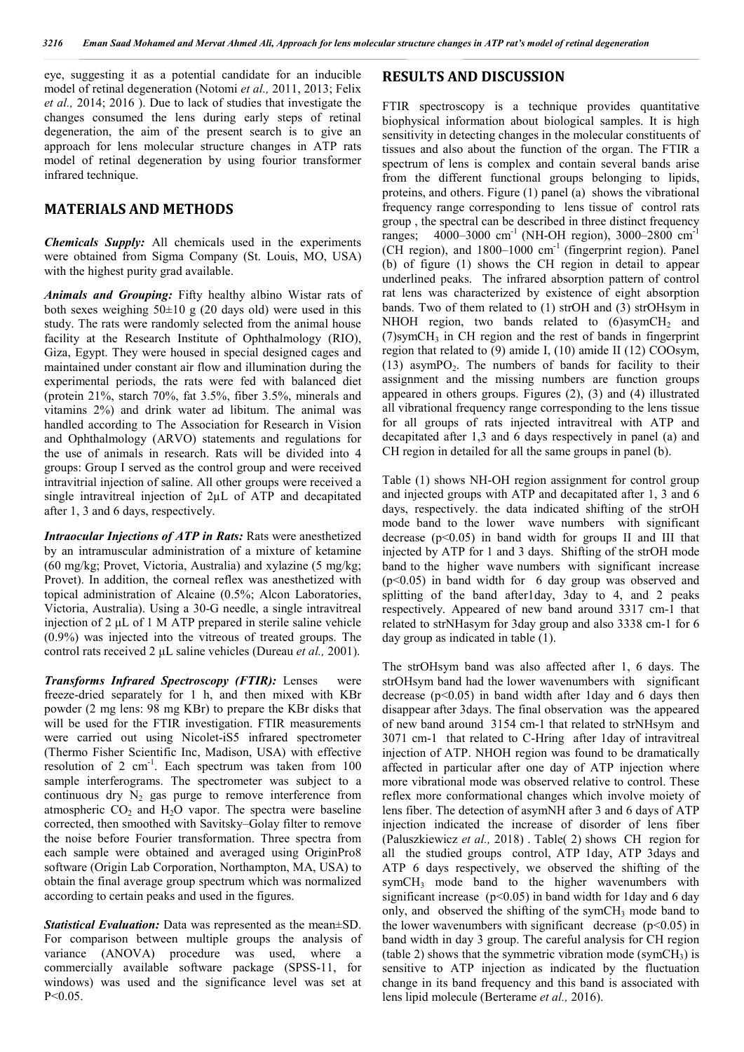eye, suggesting it as a potential candidate for an inducible model of retinal degeneration (Notomi *et al.,* 2011, 2013; Felix *et al.,* 2014; 2016 ). Due to lack of studies that investigate the changes consumed the lens during early steps of retinal degeneration, the aim of the present search is to give an approach for lens molecular structure changes in ATP rats model of retinal degeneration by using fourior transformer infrared technique.

### **MATERIALS AND METHODS**

*Chemicals Supply:* All chemicals used in the experiments were obtained from Sigma Company (St. Louis, MO, USA) with the highest purity grad available.

*Animals and Grouping:* Fifty healthy albino Wistar rats of both sexes weighing  $50\pm 10$  g (20 days old) were used in this study. The rats were randomly selected from the animal house facility at the Research Institute of Ophthalmology (RIO), Giza, Egypt. They were housed in special designed cages and maintained under constant air flow and illumination during the experimental periods, the rats were fed with balanced diet (protein 21%, starch 70%, fat 3.5%, fiber 3.5%, minerals and vitamins 2%) and drink water ad libitum. The animal was handled according to The Association for Research in Vision and Ophthalmology (ARVO) statements and regulations for the use of animals in research. Rats will be divided into 4 groups: Group I served as the control group and were received intravitrial injection of saline. All other groups were received a single intravitreal injection of 2µL of ATP and decapitated after 1, 3 and 6 days, respectively.

*Intraocular Injections of ATP in Rats:* Rats were anesthetized by an intramuscular administration of a mixture of ketamine (60 mg/kg; Provet, Victoria, Australia) and xylazine (5 mg/kg; Provet). In addition, the corneal reflex was anesthetized with topical administration of Alcaine (0.5%; Alcon Laboratories, Victoria, Australia). Using a 30-G needle, a single intravitreal injection of 2 μL of 1 M ATP prepared in sterile saline vehicle (0.9%) was injected into the vitreous of treated groups. The control rats received 2 μL saline vehicles (Dureau *et al.,* 2001).

*Transforms Infrared Spectroscopy (FTIR):* Lenses were freeze-dried separately for 1 h, and then mixed with KBr powder (2 mg lens: 98 mg KBr) to prepare the KBr disks that will be used for the FTIR investigation. FTIR measurements were carried out using Nicolet-iS5 infrared spectrometer (Thermo Fisher Scientific Inc, Madison, USA) with effective resolution of 2  $cm^{-1}$ . Each spectrum was taken from 100 sample interferograms. The spectrometer was subject to a continuous dry  $N_2$  gas purge to remove interference from atmospheric  $CO<sub>2</sub>$  and  $H<sub>2</sub>O$  vapor. The spectra were baseline corrected, then smoothed with Savitsky–Golay filter to remove the noise before Fourier transformation. Three spectra from each sample were obtained and averaged using OriginPro8 software (Origin Lab Corporation, Northampton, MA, USA) to obtain the final average group spectrum which was normalized according to certain peaks and used in the figures.

*Statistical Evaluation:* Data was represented as the mean±SD. For comparison between multiple groups the analysis of variance (ANOVA) procedure was used, where a commercially available software package (SPSS-11, for windows) was used and the significance level was set at P˂0.05.

### **RESULTS AND DISCUSSION**

FTIR spectroscopy is a technique provides quantitative biophysical information about biological samples. It is high sensitivity in detecting changes in the molecular constituents of tissues and also about the function of the organ. The FTIR a spectrum of lens is complex and contain several bands arise from the different functional groups belonging to lipids, proteins, and others. Figure (1) panel (a) shows the vibrational frequency range corresponding to lens tissue of control rats group , the spectral can be described in three distinct frequency ranges; 4000–3000 cm<sup>-1</sup> (NH-OH region), 3000–2800 cm<sup>-1</sup> (CH region), and  $1800-1000$  cm<sup>-1</sup> (fingerprint region). Panel (b) of figure (1) shows the CH region in detail to appear underlined peaks. The infrared absorption pattern of control rat lens was characterized by existence of eight absorption bands. Two of them related to (1) strOH and (3) strOHsym in NHOH region, two bands related to  $(6)$ asymCH<sub>2</sub> and  $(7)$ symCH<sub>3</sub> in CH region and the rest of bands in fingerprint region that related to (9) amide I, (10) amide II (12) COOsym, (13) asymPO<sub>2</sub>. The numbers of bands for facility to their assignment and the missing numbers are function groups appeared in others groups. Figures (2), (3) and (4) illustrated all vibrational frequency range corresponding to the lens tissue for all groups of rats injected intravitreal with ATP and decapitated after 1,3 and 6 days respectively in panel (a) and CH region in detailed for all the same groups in panel (b).

Table (1) shows NH-OH region assignment for control group and injected groups with ATP and decapitated after 1, 3 and 6 days, respectively. the data indicated shifting of the strOH mode band to the lower wave numbers with significant decrease (p˂0.05) in band width for groups II and III that injected by ATP for 1 and 3 days. Shifting of the strOH mode band to the higher wave numbers with significant increase (p˂0.05) in band width for 6 day group was observed and splitting of the band after1day, 3day to 4, and 2 peaks respectively. Appeared of new band around 3317 cm-1 that related to strNHasym for 3day group and also 3338 cm-1 for 6 day group as indicated in table (1).

The strOHsym band was also affected after 1, 6 days. The strOHsym band had the lower wavenumbers with significant decrease (p˂0.05) in band width after 1day and 6 days then disappear after 3days. The final observation was the appeared of new band around 3154 cm-1 that related to strNHsym and 3071 cm-1 that related to C-Hring after 1day of intravitreal injection of ATP. NHOH region was found to be dramatically affected in particular after one day of ATP injection where more vibrational mode was observed relative to control. These reflex more conformational changes which involve moiety of lens fiber. The detection of asymNH after 3 and 6 days of ATP injection indicated the increase of disorder of lens fiber (Paluszkiewicz *et al.,* 2018) . Table( 2) shows CH region for all the studied groups control, ATP 1day, ATP 3days and ATP 6 days respectively, we observed the shifting of the symCH3 mode band to the higher wavenumbers with significant increase  $(p<0.05)$  in band width for 1 day and 6 day only, and observed the shifting of the sym $CH<sub>3</sub>$  mode band to the lower wavenumbers with significant decrease  $(p<0.05)$  in band width in day 3 group. The careful analysis for CH region (table 2) shows that the symmetric vibration mode (symCH<sub>3</sub>) is sensitive to ATP injection as indicated by the fluctuation change in its band frequency and this band is associated with lens lipid molecule (Berterame *et al.,* 2016).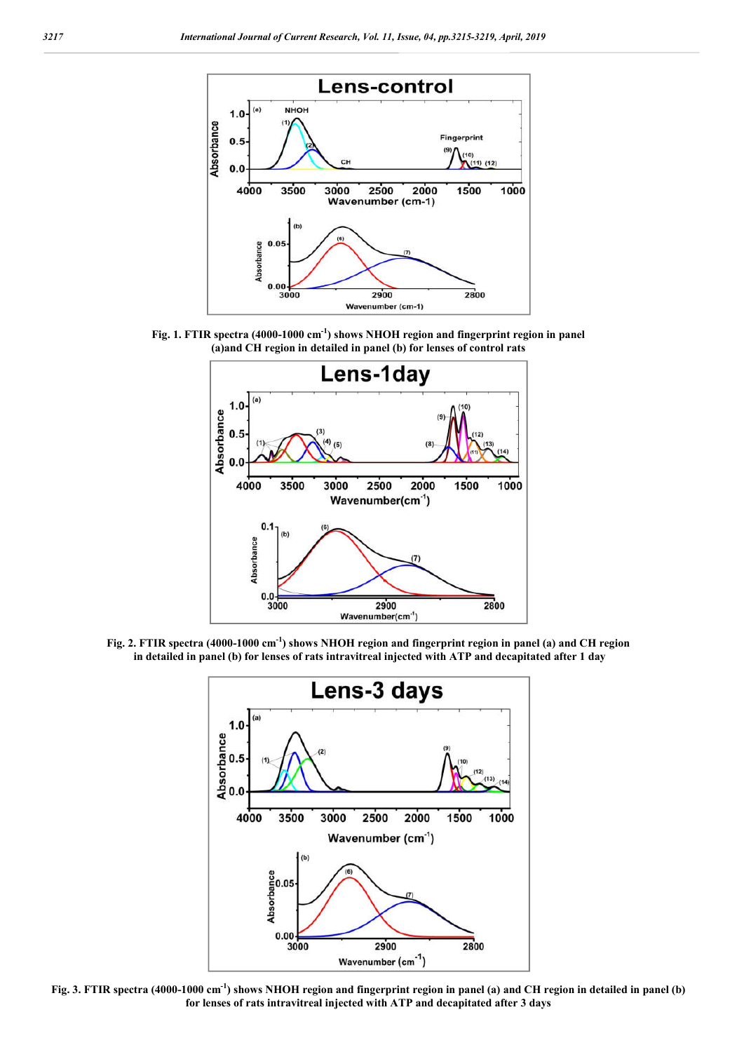

**Fig. 1. FTIR spectra (4000-1000 cm-1 ) shows NHOH region and fingerprint region in panel (a)and CH region in detailed in panel (b) for lenses of control rats**



**Fig. 2. FTIR spectra (4000-1000 cm-1 ) shows NHOH region and fingerprint region in panel (a) and CH region in detailed in panel (b) for lenses of rats intravitreal injected with ATP and decapitated after 1 day**



**Fig. 3. FTIR spectra (4000-1000 cm-1 ) shows NHOH region and fingerprint region in panel (a) and CH region in detailed in panel (b) for lenses of rats intravitreal injected with ATP and decapitated after 3 days**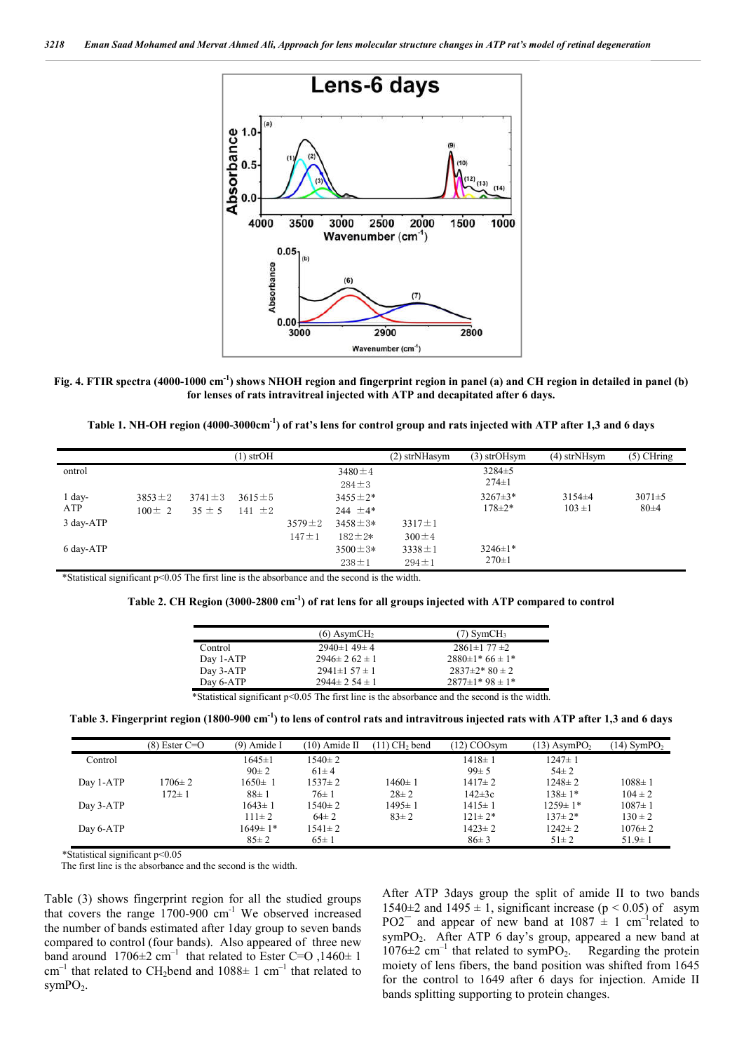

**Fig. 4. FTIR spectra (4000-1000 cm-1 ) shows NHOH region and fingerprint region in panel (a) and CH region in detailed in panel (b) for lenses of rats intravitreal injected with ATP and decapitated after 6 days.**

| Table 1. NH-OH region (4000-3000cm <sup>-1</sup> ) of rat's lens for control group and rats injected with ATP after 1,3 and 6 days |  |  |
|------------------------------------------------------------------------------------------------------------------------------------|--|--|
|                                                                                                                                    |  |  |

|           |              |              | (1) strOH    |              |               | $(2)$ strNHasym | $(3)$ strOHsym | $(4)$ strNHsym | $(5)$ CHring |
|-----------|--------------|--------------|--------------|--------------|---------------|-----------------|----------------|----------------|--------------|
| ontrol    |              |              |              |              | $3480 \pm 4$  |                 | $3284 \pm 5$   |                |              |
|           |              |              |              |              | $284 \pm 3$   |                 | $274 \pm 1$    |                |              |
| $1$ day-  | $3853 \pm 2$ | $3741 \pm 3$ | $3615 \pm 5$ |              | $3455 \pm 2*$ |                 | $3267 \pm 3*$  | $3154\pm4$     | $3071 \pm 5$ |
| ATP       | $100 \pm 2$  | $35 \pm 5$   | $141 \pm 2$  |              | 244 $\pm$ 4*  |                 | $178 \pm 2*$   | $103 \pm 1$    | $80\pm4$     |
| 3 day-ATP |              |              |              | $3579 \pm 2$ | $3458 \pm 3*$ | $3317 \pm 1$    |                |                |              |
|           |              |              |              | $147 \pm 1$  | $182 \pm 2*$  | $300 \pm 4$     |                |                |              |
| 6 day-ATP |              |              |              |              | $3500 \pm 3*$ | $3338 \pm 1$    | $3246 \pm 1*$  |                |              |
|           |              |              |              |              | $238 \pm 1$   | $294 \pm 1$     | $270 \pm 1$    |                |              |

\*Statistical significant p˂0.05 The first line is the absorbance and the second is the width.

|                                                                                               | $(6)$ AsymCH <sub>2</sub> | $(7)$ SymCH <sub>3</sub> |  |  |
|-----------------------------------------------------------------------------------------------|---------------------------|--------------------------|--|--|
| Control                                                                                       | $2940 \pm 149 \pm 4$      | $2861\pm177\pm2$         |  |  |
| Day 1-ATP                                                                                     | $2946 \pm 262 \pm 1$      | $2880\pm1*66\pm1*$       |  |  |
| Day 3-ATP                                                                                     | $2941\pm 157\pm 1$        | $2837\pm2*80\pm2$        |  |  |
| Day 6-ATP                                                                                     | $2944 \pm 2.54 \pm 1$     | $2877 \pm 1*98 \pm 1*$   |  |  |
| *Statistical significant p<0.05 The first line is the absorbance and the second is the width. |                           |                          |  |  |

**Table 3. Fingerprint region (1800-900 cm-1 ) to lens of control rats and intravitrous injected rats with ATP after 1,3 and 6 days**

|           | $(8)$ Ester C=O | (9) Amide I   | $(10)$ Amide II | $(11)$ CH <sub>2</sub> bend | $(12)$ COOsym | $(13)$ AsymPO <sub>2</sub> | $(14)$ SymPO <sub>2</sub> |
|-----------|-----------------|---------------|-----------------|-----------------------------|---------------|----------------------------|---------------------------|
| Control   |                 | $1645 \pm 1$  | $1540 \pm 2$    |                             | $1418 \pm 1$  | $1247 \pm 1$               |                           |
|           |                 | $90 \pm 2$    | $61 \pm 4$      |                             | $99 \pm 5$    | $54\pm 2$                  |                           |
| Day 1-ATP | $1706 \pm 2$    | $1650 \pm 1$  | $1537 \pm 2$    | 1460±1                      | $1417 \pm 2$  | $1248 \pm 2$               | $1088 \pm 1$              |
|           | $172 \pm 1$     | $88 \pm 1$    | $76 \pm 1$      | $28 \pm 2$                  | $142 \pm 3c$  | $138 \pm 1*$               | $104 \pm 2$               |
| Day 3-ATP |                 | $1643 \pm 1$  | $1540 \pm 2$    | 1495± 1                     | $1415 \pm 1$  | $1259 \pm 1*$              | $1087 \pm 1$              |
|           |                 | $111 \pm 2$   | $64\pm 2$       | $83 \pm 2$                  | $121 \pm 2*$  | $137 \pm 2*$               | $130 \pm 2$               |
| Day 6-ATP |                 | $1649 \pm 1*$ | $1541 \pm 2$    |                             | $1423 \pm 2$  | $1242 \pm 2$               | $1076 \pm 2$              |
|           |                 | $85 \pm 2$    | $65 \pm 1$      |                             | $86 \pm 3$    | $51 \pm 2$                 | $51.9 \pm 1$              |

\*Statistical significant p˂0.05

The first line is the absorbance and the second is the width.

Table (3) shows fingerprint region for all the studied groups that covers the range  $1700$ -900 cm<sup>-1</sup> We observed increased the number of bands estimated after 1day group to seven bands compared to control (four bands). Also appeared of three new band around  $1706 \pm 2$  cm<sup>-1</sup> that related to Ester C=O, 1460 $\pm$  1  $cm^{-1}$  that related to CH<sub>2</sub>bend and 1088 $\pm$  1 cm<sup>-1</sup> that related to  $symPO<sub>2</sub>$ .

After ATP 3days group the split of amide II to two bands 1540 $\pm$ 2 and 1495  $\pm$  1, significant increase (p < 0.05) of asym PO2<sup> $-$ </sup> and appear of new band at 1087  $\pm$  1 cm<sup>-1</sup>related to symPO2. After ATP 6 day's group, appeared a new band at  $1076\pm2$  cm<sup>-1</sup> that related to symPO<sub>2</sub>. Regarding the protein moiety of lens fibers, the band position was shifted from 1645 for the control to 1649 after 6 days for injection. Amide II bands splitting supporting to protein changes.